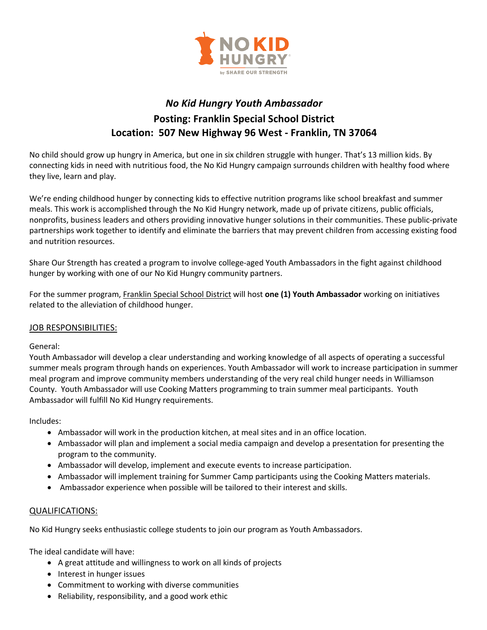

## *No Kid Hungry Youth Ambassador*  **Posting: Franklin Special School District Location: 507 New Highway 96 West - Franklin, TN 37064**

No child should grow up hungry in America, but one in six children struggle with hunger. That's 13 million kids. By connecting kids in need with nutritious food, the No Kid Hungry campaign surrounds children with healthy food where they live, learn and play.

We're ending childhood hunger by connecting kids to effective nutrition programs like school breakfast and summer meals. This work is accomplished through the No Kid Hungry network, made up of private citizens, public officials, nonprofits, business leaders and others providing innovative hunger solutions in their communities. These public-private partnerships work together to identify and eliminate the barriers that may prevent children from accessing existing food and nutrition resources.

Share Our Strength has created a program to involve college-aged Youth Ambassadors in the fight against childhood hunger by working with one of our No Kid Hungry community partners.

For the summer program, Franklin Special School District will host **one (1) Youth Ambassador** working on initiatives related to the alleviation of childhood hunger.

## JOB RESPONSIBILITIES:

## General:

Youth Ambassador will develop a clear understanding and working knowledge of all aspects of operating a successful summer meals program through hands on experiences. Youth Ambassador will work to increase participation in summer meal program and improve community members understanding of the very real child hunger needs in Williamson County. Youth Ambassador will use Cooking Matters programming to train summer meal participants. Youth Ambassador will fulfill No Kid Hungry requirements.

Includes:

- Ambassador will work in the production kitchen, at meal sites and in an office location.
- Ambassador will plan and implement a social media campaign and develop a presentation for presenting the program to the community.
- Ambassador will develop, implement and execute events to increase participation.
- Ambassador will implement training for Summer Camp participants using the Cooking Matters materials.
- Ambassador experience when possible will be tailored to their interest and skills.

## QUALIFICATIONS:

No Kid Hungry seeks enthusiastic college students to join our program as Youth Ambassadors.

The ideal candidate will have:

- A great attitude and willingness to work on all kinds of projects
- Interest in hunger issues
- Commitment to working with diverse communities
- Reliability, responsibility, and a good work ethic